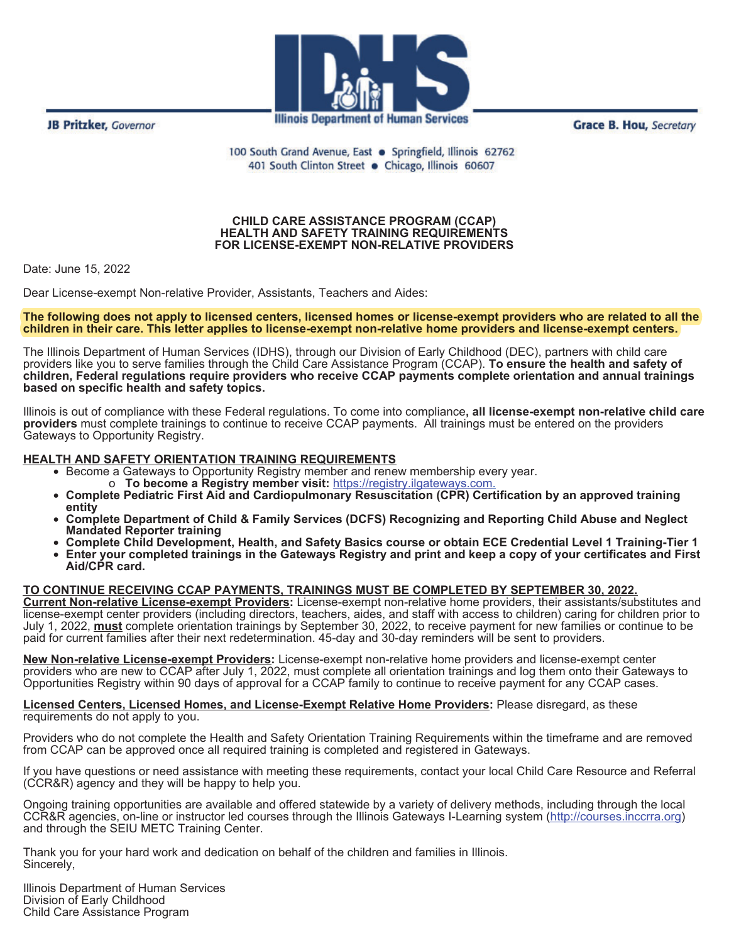**JB Pritzker, Governor** 



**Illinois Department of Human Services** 

**Grace B. Hou, Secretary** 

100 South Grand Avenue, East . Springfield, Illinois 62762 401 South Clinton Street . Chicago, Illinois 60607

## **CHILD CARE ASSISTANCE PROGRAM (CCAP) HEALTH AND SAFETY TRAINING REQUIREMENTS FOR LICENSE-EXEMPT NON-RELATIVE PROVIDERS**

Date: June 15, 2022

Dear License-exempt Non-relative Provider, Assistants, Teachers and Aides:

**The following does not apply to licensed centers, licensed homes or license-exempt providers who are related to all the no ot license exempt**  children in their care. This letter applies to license-exempt non-relative home providers and license-exempt centers.

The Illinois Department of Human Services (IDHS), through our Division of Early Childhood (DEC), partners with child care providers like you to serve families through the Child Care Assistance Program (CCAP). **To ensure the health and safety of children, Federal regulations require providers who receive CCAP payments complete orientation and annual trainings based on specific health and safety topics.**

Illinois is out of compliance with these Federal regulations. To come into compliance**, all license-exempt non-relative child care providers** must complete trainings to continue to receive CCAP payments. All trainings must be entered on the providers Gateways to Opportunity Registry.

## **HEALTH AND SAFETY ORIENTATION TRAINING REQUIREMENTS**

- Become a Gateways to Opportunity Registry member and renew membership every year.
	- o **To become a Registry member visit:** https://registry.ilgateways.com.
- **Complete Pediatric First Aid and Cardiopulmonary Resuscitation (CPR) Certification by an approved training entity**
- **Complete Department of Child & Family Services (DCFS) Recognizing and Reporting Child Abuse and Neglect Mandated Reporter training**
- **Complete Child Development, Health, and Safety Basics course or obtain ECE Credential Level 1 Training-Tier 1**
- **Enter your completed trainings in the Gateways Registry and print and keep a copy of your certificates and First Aid/CPR card.**

## **TO CONTINUE RECEIVING CCAP PAYMENTS, TRAININGS MUST BE COMPLETED BY SEPTEMBER 30, 2022.**

**Current Non-relative License-exempt Providers:** License-exempt non-relative home providers, their assistants/substitutes and license-exempt center providers (including directors, teachers, aides, and staff with access to children) caring for children prior to July 1, 2022, **must** complete orientation trainings by September 30, 2022, to receive payment for new families or continue to be paid for current families after their next redetermination. 45-day and 30-day reminders will be sent to providers.

l **New Non-relative License-exempt Providers:** License-exempt non-relative home providers and license-exempt center providers who are new to CCAP after July 1, 2022, must complete all orientation trainings and log them onto their Gateways to Opportunities Registry within 90 days of approval for a CCAP family to continue to receive payment for any CCAP cases.

 $\overline{a}$ **Licensed Centers, Licensed Homes, and License-Exempt Relative Home Providers:** Please disregard, as these requirements do not apply to you.

 $\overline{a}$ Providers who do not complete the Health and Safety Orientation Training Requirements within the timeframe and are removed from CCAP can be approved once all required training is completed and registered in Gateways.

 $\overline{a}$ If you have questions or need assistance with meeting these requirements, contact your local Child Care Resource and Referral (CCR&R) agency and they will be happy to help you.

j Ongoing training opportunities are available and offered statewide by a variety of delivery methods, including through the local CCR&R agencies, on-line or instructor led courses through the Illinois Gateways I-Learning system (<u>http://courses.inccrra.org</u>) and through the SEIU METC Training Center.

Thank you for your hard work and dedication on behalf of the children and families in Illinois. Sincerely,

Illinois Department of Human Services Division of Early Childhood Child Care Assistance Program